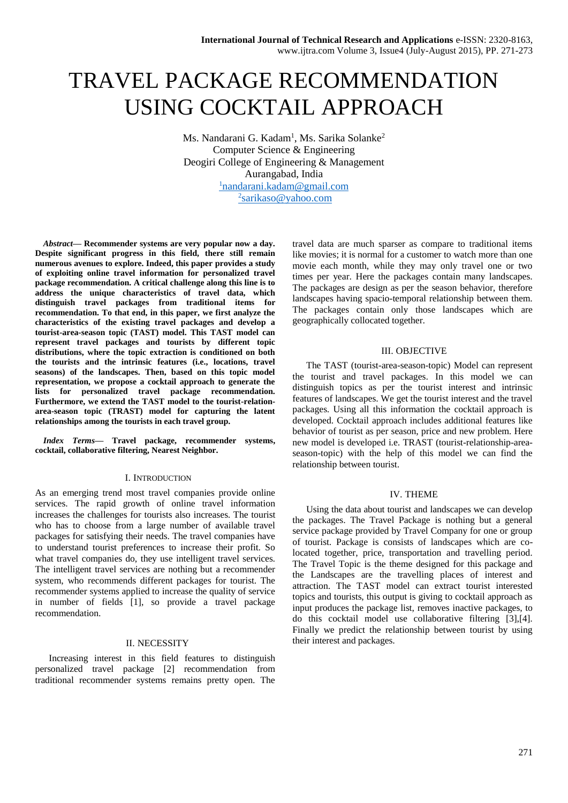# TRAVEL PACKAGE RECOMMENDATION USING COCKTAIL APPROACH

Ms. Nandarani G. Kadam<sup>1</sup>, Ms. Sarika Solanke<sup>2</sup> Computer Science & Engineering Deogiri College of Engineering & Management Aurangabad, India <sup>1</sup>[nandarani.kadam@gmail.com](mailto:1nandarani.kadam@gmail.com) <sup>2</sup>[sarikaso@yahoo.com](mailto:2sarikaso@yahoo.com)

*Abstract***— Recommender systems are very popular now a day. Despite significant progress in this field, there still remain numerous avenues to explore. Indeed, this paper provides a study of exploiting online travel information for personalized travel package recommendation. A critical challenge along this line is to address the unique characteristics of travel data, which distinguish travel packages from traditional items for recommendation. To that end, in this paper, we first analyze the characteristics of the existing travel packages and develop a tourist-area-season topic (TAST) model. This TAST model can represent travel packages and tourists by different topic distributions, where the topic extraction is conditioned on both the tourists and the intrinsic features (i.e., locations, travel seasons) of the landscapes. Then, based on this topic model representation, we propose a cocktail approach to generate the lists for personalized travel package recommendation. Furthermore, we extend the TAST model to the tourist-relationarea-season topic (TRAST) model for capturing the latent relationships among the tourists in each travel group.** 

*Index Terms***— Travel package, recommender systems, cocktail, collaborative filtering, Nearest Neighbor.**

### I. INTRODUCTION

As an emerging trend most travel companies provide online services. The rapid growth of online travel information increases the challenges for tourists also increases. The tourist who has to choose from a large number of available travel packages for satisfying their needs. The travel companies have to understand tourist preferences to increase their profit. So what travel companies do, they use intelligent travel services. The intelligent travel services are nothing but a recommender system, who recommends different packages for tourist. The recommender systems applied to increase the quality of service in number of fields [1], so provide a travel package recommendation.

### II. NECESSITY

Increasing interest in this field features to distinguish personalized travel package [2] recommendation from traditional recommender systems remains pretty open. The

travel data are much sparser as compare to traditional items like movies; it is normal for a customer to watch more than one movie each month, while they may only travel one or two times per year. Here the packages contain many landscapes. The packages are design as per the season behavior, therefore landscapes having spacio-temporal relationship between them. The packages contain only those landscapes which are geographically collocated together.

# III. OBJECTIVE

The TAST (tourist-area-season-topic) Model can represent the tourist and travel packages. In this model we can distinguish topics as per the tourist interest and intrinsic features of landscapes. We get the tourist interest and the travel packages. Using all this information the cocktail approach is developed. Cocktail approach includes additional features like behavior of tourist as per season, price and new problem. Here new model is developed i.e. TRAST (tourist-relationship-areaseason-topic) with the help of this model we can find the relationship between tourist.

### IV. THEME

Using the data about tourist and landscapes we can develop the packages. The Travel Package is nothing but a general service package provided by Travel Company for one or group of tourist. Package is consists of landscapes which are colocated together, price, transportation and travelling period. The Travel Topic is the theme designed for this package and the Landscapes are the travelling places of interest and attraction. The TAST model can extract tourist interested topics and tourists, this output is giving to cocktail approach as input produces the package list, removes inactive packages, to do this cocktail model use collaborative filtering [3],[4]. Finally we predict the relationship between tourist by using their interest and packages.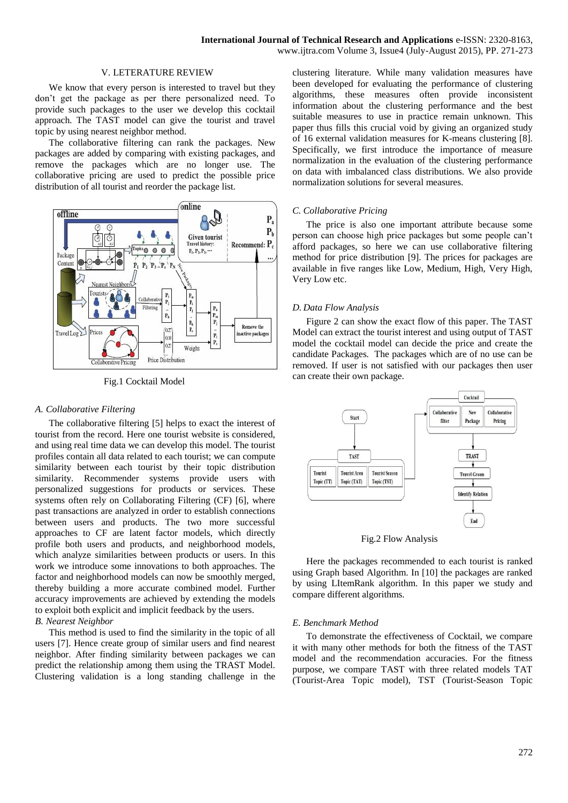# V. LETERATURE REVIEW

We know that every person is interested to travel but they don't get the package as per there personalized need. To provide such packages to the user we develop this cocktail approach. The TAST model can give the tourist and travel topic by using nearest neighbor method.

The collaborative filtering can rank the packages. New packages are added by comparing with existing packages, and remove the packages which are no longer use. The collaborative pricing are used to predict the possible price distribution of all tourist and reorder the package list.



Fig.1 Cocktail Model

# *A. Collaborative Filtering*

The collaborative filtering [5] helps to exact the interest of tourist from the record. Here one tourist website is considered, and using real time data we can develop this model. The tourist profiles contain all data related to each tourist; we can compute similarity between each tourist by their topic distribution similarity. Recommender systems provide users with personalized suggestions for products or services. These systems often rely on Collaborating Filtering (CF) [6], where past transactions are analyzed in order to establish connections between users and products. The two more successful approaches to CF are latent factor models, which directly profile both users and products, and neighborhood models, which analyze similarities between products or users. In this work we introduce some innovations to both approaches. The factor and neighborhood models can now be smoothly merged, thereby building a more accurate combined model. Further accuracy improvements are achieved by extending the models to exploit both explicit and implicit feedback by the users. *B. Nearest Neighbor*

This method is used to find the similarity in the topic of all users [7]. Hence create group of similar users and find nearest neighbor. After finding similarity between packages we can predict the relationship among them using the TRAST Model. Clustering validation is a long standing challenge in the clustering literature. While many validation measures have been developed for evaluating the performance of clustering algorithms, these measures often provide inconsistent information about the clustering performance and the best suitable measures to use in practice remain unknown. This paper thus fills this crucial void by giving an organized study of 16 external validation measures for K-means clustering [8]. Specifically, we first introduce the importance of measure normalization in the evaluation of the clustering performance on data with imbalanced class distributions. We also provide normalization solutions for several measures.

### *C. Collaborative Pricing*

The price is also one important attribute because some person can choose high price packages but some people can't afford packages, so here we can use collaborative filtering method for price distribution [9]. The prices for packages are available in five ranges like Low, Medium, High, Very High, Very Low etc.

### *D. Data Flow Analysis*

Figure 2 can show the exact flow of this paper. The TAST Model can extract the tourist interest and using output of TAST model the cocktail model can decide the price and create the candidate Packages. The packages which are of no use can be removed. If user is not satisfied with our packages then user can create their own package.



Fig.2 Flow Analysis

Here the packages recommended to each tourist is ranked using Graph based Algorithm. In [10] the packages are ranked by using LItemRank algorithm. In this paper we study and compare different algorithms.

### *E. Benchmark Method*

To demonstrate the effectiveness of Cocktail, we compare it with many other methods for both the fitness of the TAST model and the recommendation accuracies. For the fitness purpose, we compare TAST with three related models TAT (Tourist-Area Topic model), TST (Tourist-Season Topic